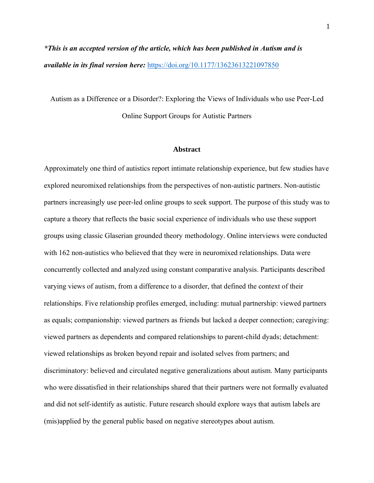*\*This is an accepted version of the article, which has been published in Autism and is available in its final version here:* <https://doi.org/10.1177/13623613221097850>

Autism as a Difference or a Disorder?: Exploring the Views of Individuals who use Peer-Led Online Support Groups for Autistic Partners

#### **Abstract**

Approximately one third of autistics report intimate relationship experience, but few studies have explored neuromixed relationships from the perspectives of non-autistic partners. Non-autistic partners increasingly use peer-led online groups to seek support. The purpose of this study was to capture a theory that reflects the basic social experience of individuals who use these support groups using classic Glaserian grounded theory methodology. Online interviews were conducted with 162 non-autistics who believed that they were in neuromixed relationships. Data were concurrently collected and analyzed using constant comparative analysis. Participants described varying views of autism, from a difference to a disorder, that defined the context of their relationships. Five relationship profiles emerged, including: mutual partnership: viewed partners as equals; companionship: viewed partners as friends but lacked a deeper connection; caregiving: viewed partners as dependents and compared relationships to parent-child dyads; detachment: viewed relationships as broken beyond repair and isolated selves from partners; and discriminatory: believed and circulated negative generalizations about autism. Many participants who were dissatisfied in their relationships shared that their partners were not formally evaluated and did not self-identify as autistic. Future research should explore ways that autism labels are (mis)applied by the general public based on negative stereotypes about autism.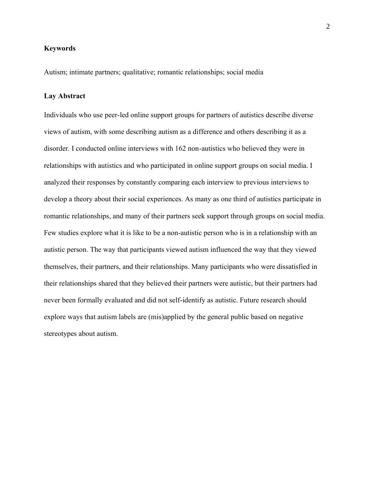# **Keywords**

Autism; intimate partners; qualitative; romantic relationships; social media

#### **Lay Abstract**

Individuals who use peer-led online support groups for partners of autistics describe diverse views of autism, with some describing autism as a difference and others describing it as a disorder. I conducted online interviews with 162 non-autistics who believed they were in relationships with autistics and who participated in online support groups on social media. I analyzed their responses by constantly comparing each interview to previous interviews to develop a theory about their social experiences. As many as one third of autistics participate in romantic relationships, and many of their partners seek support through groups on social media. Few studies explore what it is like to be a non-autistic person who is in a relationship with an autistic person. The way that participants viewed autism influenced the way that they viewed themselves, their partners, and their relationships. Many participants who were dissatisfied in their relationships shared that they believed their partners were autistic, but their partners had never been formally evaluated and did not self-identify as autistic. Future research should explore ways that autism labels are (mis)applied by the general public based on negative stereotypes about autism.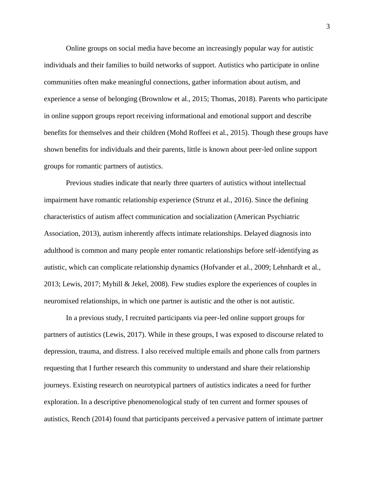Online groups on social media have become an increasingly popular way for autistic individuals and their families to build networks of support. Autistics who participate in online communities often make meaningful connections, gather information about autism, and experience a sense of belonging (Brownlow et al., 2015; Thomas, 2018). Parents who participate in online support groups report receiving informational and emotional support and describe benefits for themselves and their children (Mohd Roffeei et al., 2015). Though these groups have shown benefits for individuals and their parents, little is known about peer-led online support groups for romantic partners of autistics.

Previous studies indicate that nearly three quarters of autistics without intellectual impairment have romantic relationship experience (Strunz et al., 2016). Since the defining characteristics of autism affect communication and socialization (American Psychiatric Association, 2013), autism inherently affects intimate relationships. Delayed diagnosis into adulthood is common and many people enter romantic relationships before self-identifying as autistic, which can complicate relationship dynamics (Hofvander et al., 2009; Lehnhardt et al., 2013; Lewis, 2017; Myhill & Jekel, 2008). Few studies explore the experiences of couples in neuromixed relationships, in which one partner is autistic and the other is not autistic.

In a previous study, I recruited participants via peer-led online support groups for partners of autistics (Lewis, 2017). While in these groups, I was exposed to discourse related to depression, trauma, and distress. I also received multiple emails and phone calls from partners requesting that I further research this community to understand and share their relationship journeys. Existing research on neurotypical partners of autistics indicates a need for further exploration. In a descriptive phenomenological study of ten current and former spouses of autistics, Rench (2014) found that participants perceived a pervasive pattern of intimate partner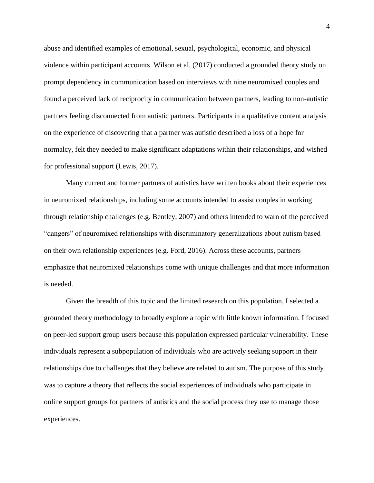abuse and identified examples of emotional, sexual, psychological, economic, and physical violence within participant accounts. Wilson et al. (2017) conducted a grounded theory study on prompt dependency in communication based on interviews with nine neuromixed couples and found a perceived lack of reciprocity in communication between partners, leading to non-autistic partners feeling disconnected from autistic partners. Participants in a qualitative content analysis on the experience of discovering that a partner was autistic described a loss of a hope for normalcy, felt they needed to make significant adaptations within their relationships, and wished for professional support (Lewis, 2017).

Many current and former partners of autistics have written books about their experiences in neuromixed relationships, including some accounts intended to assist couples in working through relationship challenges (e.g. Bentley, 2007) and others intended to warn of the perceived "dangers" of neuromixed relationships with discriminatory generalizations about autism based on their own relationship experiences (e.g. Ford, 2016). Across these accounts, partners emphasize that neuromixed relationships come with unique challenges and that more information is needed.

Given the breadth of this topic and the limited research on this population, I selected a grounded theory methodology to broadly explore a topic with little known information. I focused on peer-led support group users because this population expressed particular vulnerability. These individuals represent a subpopulation of individuals who are actively seeking support in their relationships due to challenges that they believe are related to autism. The purpose of this study was to capture a theory that reflects the social experiences of individuals who participate in online support groups for partners of autistics and the social process they use to manage those experiences.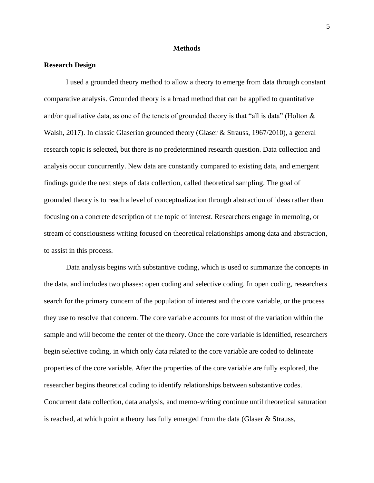## **Methods**

# **Research Design**

I used a grounded theory method to allow a theory to emerge from data through constant comparative analysis. Grounded theory is a broad method that can be applied to quantitative and/or qualitative data, as one of the tenets of grounded theory is that "all is data" (Holton  $\&$ Walsh, 2017). In classic Glaserian grounded theory (Glaser & Strauss, 1967/2010), a general research topic is selected, but there is no predetermined research question. Data collection and analysis occur concurrently. New data are constantly compared to existing data, and emergent findings guide the next steps of data collection, called theoretical sampling. The goal of grounded theory is to reach a level of conceptualization through abstraction of ideas rather than focusing on a concrete description of the topic of interest. Researchers engage in memoing, or stream of consciousness writing focused on theoretical relationships among data and abstraction, to assist in this process.

Data analysis begins with substantive coding, which is used to summarize the concepts in the data, and includes two phases: open coding and selective coding. In open coding, researchers search for the primary concern of the population of interest and the core variable, or the process they use to resolve that concern. The core variable accounts for most of the variation within the sample and will become the center of the theory. Once the core variable is identified, researchers begin selective coding, in which only data related to the core variable are coded to delineate properties of the core variable. After the properties of the core variable are fully explored, the researcher begins theoretical coding to identify relationships between substantive codes. Concurrent data collection, data analysis, and memo-writing continue until theoretical saturation is reached, at which point a theory has fully emerged from the data (Glaser & Strauss,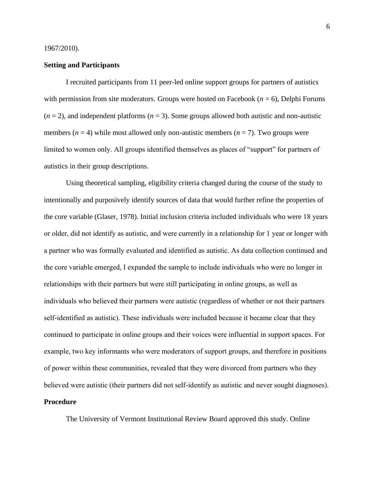#### 1967/2010).

# **Setting and Participants**

I recruited participants from 11 peer-led online support groups for partners of autistics with permission from site moderators. Groups were hosted on Facebook ( $n = 6$ ), Delphi Forums  $(n = 2)$ , and independent platforms  $(n = 3)$ . Some groups allowed both autistic and non-autistic members  $(n = 4)$  while most allowed only non-autistic members  $(n = 7)$ . Two groups were limited to women only. All groups identified themselves as places of "support" for partners of autistics in their group descriptions.

Using theoretical sampling, eligibility criteria changed during the course of the study to intentionally and purposively identify sources of data that would further refine the properties of the core variable (Glaser, 1978). Initial inclusion criteria included individuals who were 18 years or older, did not identify as autistic, and were currently in a relationship for 1 year or longer with a partner who was formally evaluated and identified as autistic. As data collection continued and the core variable emerged, I expanded the sample to include individuals who were no longer in relationships with their partners but were still participating in online groups, as well as individuals who believed their partners were autistic (regardless of whether or not their partners self-identified as autistic). These individuals were included because it became clear that they continued to participate in online groups and their voices were influential in support spaces. For example, two key informants who were moderators of support groups, and therefore in positions of power within these communities, revealed that they were divorced from partners who they believed were autistic (their partners did not self-identify as autistic and never sought diagnoses). **Procedure**

The University of Vermont Institutional Review Board approved this study. Online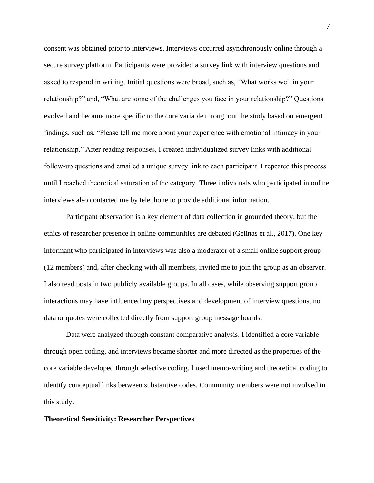consent was obtained prior to interviews. Interviews occurred asynchronously online through a secure survey platform. Participants were provided a survey link with interview questions and asked to respond in writing. Initial questions were broad, such as, "What works well in your relationship?" and, "What are some of the challenges you face in your relationship?" Questions evolved and became more specific to the core variable throughout the study based on emergent findings, such as, "Please tell me more about your experience with emotional intimacy in your relationship." After reading responses, I created individualized survey links with additional follow-up questions and emailed a unique survey link to each participant. I repeated this process until I reached theoretical saturation of the category. Three individuals who participated in online interviews also contacted me by telephone to provide additional information.

Participant observation is a key element of data collection in grounded theory, but the ethics of researcher presence in online communities are debated (Gelinas et al., 2017). One key informant who participated in interviews was also a moderator of a small online support group (12 members) and, after checking with all members, invited me to join the group as an observer. I also read posts in two publicly available groups. In all cases, while observing support group interactions may have influenced my perspectives and development of interview questions, no data or quotes were collected directly from support group message boards.

Data were analyzed through constant comparative analysis. I identified a core variable through open coding, and interviews became shorter and more directed as the properties of the core variable developed through selective coding. I used memo-writing and theoretical coding to identify conceptual links between substantive codes. Community members were not involved in this study.

#### **Theoretical Sensitivity: Researcher Perspectives**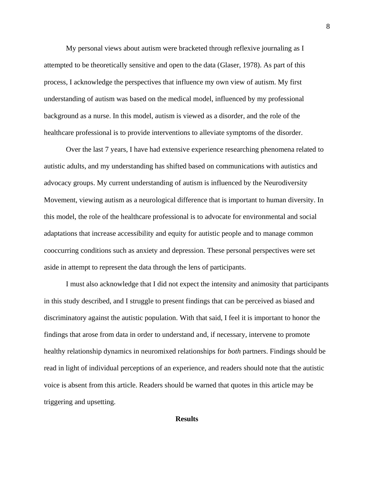My personal views about autism were bracketed through reflexive journaling as I attempted to be theoretically sensitive and open to the data (Glaser, 1978). As part of this process, I acknowledge the perspectives that influence my own view of autism. My first understanding of autism was based on the medical model, influenced by my professional background as a nurse. In this model, autism is viewed as a disorder, and the role of the healthcare professional is to provide interventions to alleviate symptoms of the disorder.

Over the last 7 years, I have had extensive experience researching phenomena related to autistic adults, and my understanding has shifted based on communications with autistics and advocacy groups. My current understanding of autism is influenced by the Neurodiversity Movement, viewing autism as a neurological difference that is important to human diversity. In this model, the role of the healthcare professional is to advocate for environmental and social adaptations that increase accessibility and equity for autistic people and to manage common cooccurring conditions such as anxiety and depression. These personal perspectives were set aside in attempt to represent the data through the lens of participants.

I must also acknowledge that I did not expect the intensity and animosity that participants in this study described, and I struggle to present findings that can be perceived as biased and discriminatory against the autistic population. With that said, I feel it is important to honor the findings that arose from data in order to understand and, if necessary, intervene to promote healthy relationship dynamics in neuromixed relationships for *both* partners. Findings should be read in light of individual perceptions of an experience, and readers should note that the autistic voice is absent from this article. Readers should be warned that quotes in this article may be triggering and upsetting.

#### **Results**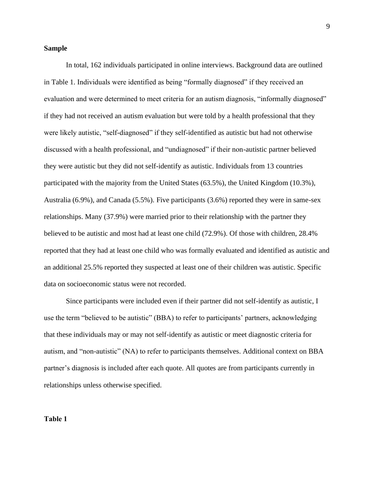# **Sample**

In total, 162 individuals participated in online interviews. Background data are outlined in Table 1. Individuals were identified as being "formally diagnosed" if they received an evaluation and were determined to meet criteria for an autism diagnosis, "informally diagnosed" if they had not received an autism evaluation but were told by a health professional that they were likely autistic, "self-diagnosed" if they self-identified as autistic but had not otherwise discussed with a health professional, and "undiagnosed" if their non-autistic partner believed they were autistic but they did not self-identify as autistic. Individuals from 13 countries participated with the majority from the United States (63.5%), the United Kingdom (10.3%), Australia (6.9%), and Canada (5.5%). Five participants (3.6%) reported they were in same-sex relationships. Many (37.9%) were married prior to their relationship with the partner they believed to be autistic and most had at least one child (72.9%). Of those with children, 28.4% reported that they had at least one child who was formally evaluated and identified as autistic and an additional 25.5% reported they suspected at least one of their children was autistic. Specific data on socioeconomic status were not recorded.

Since participants were included even if their partner did not self-identify as autistic, I use the term "believed to be autistic" (BBA) to refer to participants' partners, acknowledging that these individuals may or may not self-identify as autistic or meet diagnostic criteria for autism, and "non-autistic" (NA) to refer to participants themselves. Additional context on BBA partner's diagnosis is included after each quote. All quotes are from participants currently in relationships unless otherwise specified.

# **Table 1**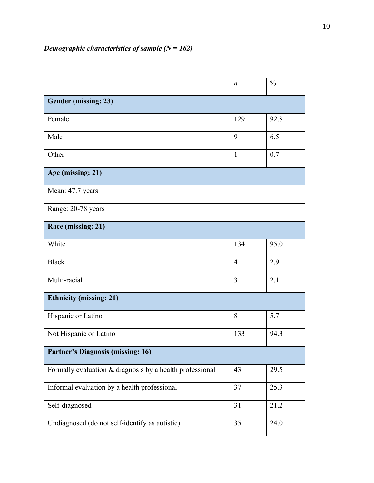|                                                          | $\boldsymbol{n}$ | $\frac{0}{0}$ |  |
|----------------------------------------------------------|------------------|---------------|--|
| Gender (missing: 23)                                     |                  |               |  |
| Female                                                   | 129              | 92.8          |  |
| Male                                                     | 9                | 6.5           |  |
| Other                                                    | $\mathbf{1}$     | 0.7           |  |
| Age (missing: 21)                                        |                  |               |  |
| Mean: 47.7 years                                         |                  |               |  |
| Range: 20-78 years                                       |                  |               |  |
| Race (missing: 21)                                       |                  |               |  |
| White                                                    | 134              | 95.0          |  |
| <b>Black</b>                                             | $\overline{4}$   | 2.9           |  |
| Multi-racial                                             | $\overline{3}$   | 2.1           |  |
| <b>Ethnicity (missing: 21)</b>                           |                  |               |  |
| Hispanic or Latino                                       | 8                | 5.7           |  |
| Not Hispanic or Latino                                   | 133              | 94.3          |  |
| <b>Partner's Diagnosis (missing: 16)</b>                 |                  |               |  |
| Formally evaluation & diagnosis by a health professional | 43               | 29.5          |  |
| Informal evaluation by a health professional             | 37               | 25.3          |  |
| Self-diagnosed                                           | 31               | 21.2          |  |
| Undiagnosed (do not self-identify as autistic)           | 35               | 24.0          |  |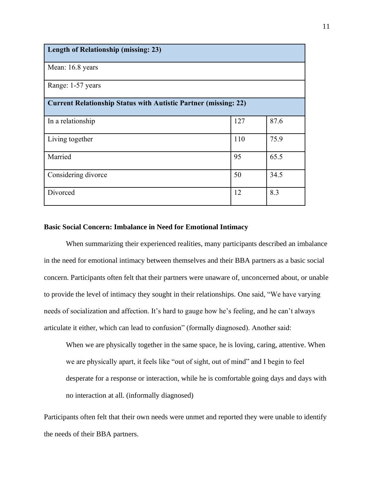| <b>Length of Relationship (missing: 23)</b>                            |     |      |  |
|------------------------------------------------------------------------|-----|------|--|
| Mean: 16.8 years                                                       |     |      |  |
| Range: 1-57 years                                                      |     |      |  |
| <b>Current Relationship Status with Autistic Partner (missing: 22)</b> |     |      |  |
| In a relationship                                                      | 127 | 87.6 |  |
| Living together                                                        | 110 | 75.9 |  |
| Married                                                                | 95  | 65.5 |  |
| Considering divorce                                                    | 50  | 34.5 |  |
| Divorced                                                               | 12  | 8.3  |  |

## **Basic Social Concern: Imbalance in Need for Emotional Intimacy**

When summarizing their experienced realities, many participants described an imbalance in the need for emotional intimacy between themselves and their BBA partners as a basic social concern. Participants often felt that their partners were unaware of, unconcerned about, or unable to provide the level of intimacy they sought in their relationships. One said, "We have varying needs of socialization and affection. It's hard to gauge how he's feeling, and he can't always articulate it either, which can lead to confusion" (formally diagnosed). Another said:

When we are physically together in the same space, he is loving, caring, attentive. When we are physically apart, it feels like "out of sight, out of mind" and I begin to feel desperate for a response or interaction, while he is comfortable going days and days with no interaction at all. (informally diagnosed)

Participants often felt that their own needs were unmet and reported they were unable to identify the needs of their BBA partners.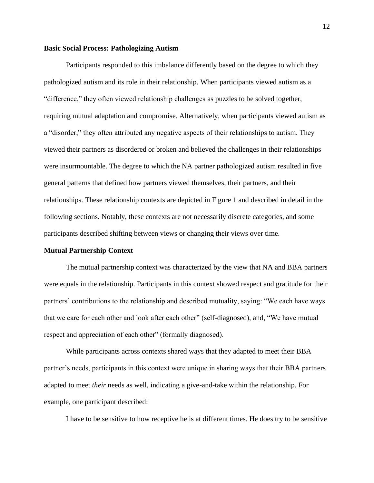## **Basic Social Process: Pathologizing Autism**

Participants responded to this imbalance differently based on the degree to which they pathologized autism and its role in their relationship. When participants viewed autism as a "difference," they often viewed relationship challenges as puzzles to be solved together, requiring mutual adaptation and compromise. Alternatively, when participants viewed autism as a "disorder," they often attributed any negative aspects of their relationships to autism. They viewed their partners as disordered or broken and believed the challenges in their relationships were insurmountable. The degree to which the NA partner pathologized autism resulted in five general patterns that defined how partners viewed themselves, their partners, and their relationships. These relationship contexts are depicted in Figure 1 and described in detail in the following sections. Notably, these contexts are not necessarily discrete categories, and some participants described shifting between views or changing their views over time.

#### **Mutual Partnership Context**

The mutual partnership context was characterized by the view that NA and BBA partners were equals in the relationship. Participants in this context showed respect and gratitude for their partners' contributions to the relationship and described mutuality, saying: "We each have ways that we care for each other and look after each other" (self-diagnosed), and, "We have mutual respect and appreciation of each other" (formally diagnosed).

While participants across contexts shared ways that they adapted to meet their BBA partner's needs, participants in this context were unique in sharing ways that their BBA partners adapted to meet *their* needs as well, indicating a give-and-take within the relationship. For example, one participant described:

I have to be sensitive to how receptive he is at different times. He does try to be sensitive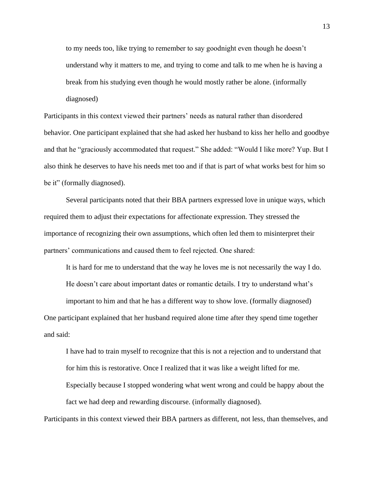to my needs too, like trying to remember to say goodnight even though he doesn't understand why it matters to me, and trying to come and talk to me when he is having a break from his studying even though he would mostly rather be alone. (informally diagnosed)

Participants in this context viewed their partners' needs as natural rather than disordered behavior. One participant explained that she had asked her husband to kiss her hello and goodbye and that he "graciously accommodated that request." She added: "Would I like more? Yup. But I also think he deserves to have his needs met too and if that is part of what works best for him so be it" (formally diagnosed).

Several participants noted that their BBA partners expressed love in unique ways, which required them to adjust their expectations for affectionate expression. They stressed the importance of recognizing their own assumptions, which often led them to misinterpret their partners' communications and caused them to feel rejected. One shared:

It is hard for me to understand that the way he loves me is not necessarily the way I do.

He doesn't care about important dates or romantic details. I try to understand what's

important to him and that he has a different way to show love. (formally diagnosed)

One participant explained that her husband required alone time after they spend time together and said:

I have had to train myself to recognize that this is not a rejection and to understand that for him this is restorative. Once I realized that it was like a weight lifted for me. Especially because I stopped wondering what went wrong and could be happy about the fact we had deep and rewarding discourse. (informally diagnosed).

Participants in this context viewed their BBA partners as different, not less, than themselves, and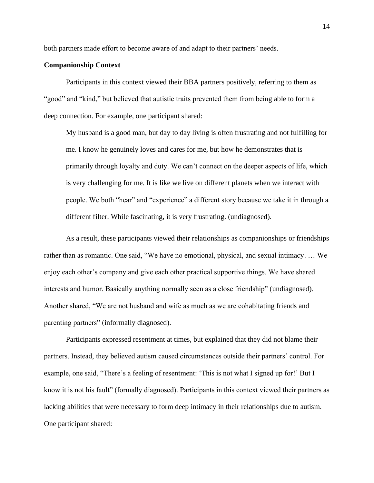both partners made effort to become aware of and adapt to their partners' needs.

# **Companionship Context**

Participants in this context viewed their BBA partners positively, referring to them as "good" and "kind," but believed that autistic traits prevented them from being able to form a deep connection. For example, one participant shared:

My husband is a good man, but day to day living is often frustrating and not fulfilling for me. I know he genuinely loves and cares for me, but how he demonstrates that is primarily through loyalty and duty. We can't connect on the deeper aspects of life, which is very challenging for me. It is like we live on different planets when we interact with people. We both "hear" and "experience" a different story because we take it in through a different filter. While fascinating, it is very frustrating. (undiagnosed).

As a result, these participants viewed their relationships as companionships or friendships rather than as romantic. One said, "We have no emotional, physical, and sexual intimacy. … We enjoy each other's company and give each other practical supportive things. We have shared interests and humor. Basically anything normally seen as a close friendship" (undiagnosed). Another shared, "We are not husband and wife as much as we are cohabitating friends and parenting partners" (informally diagnosed).

Participants expressed resentment at times, but explained that they did not blame their partners. Instead, they believed autism caused circumstances outside their partners' control. For example, one said, "There's a feeling of resentment: 'This is not what I signed up for!' But I know it is not his fault" (formally diagnosed). Participants in this context viewed their partners as lacking abilities that were necessary to form deep intimacy in their relationships due to autism. One participant shared: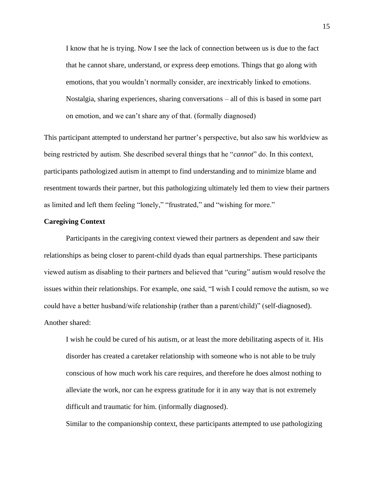I know that he is trying. Now I see the lack of connection between us is due to the fact that he cannot share, understand, or express deep emotions. Things that go along with emotions, that you wouldn't normally consider, are inextricably linked to emotions. Nostalgia, sharing experiences, sharing conversations – all of this is based in some part on emotion, and we can't share any of that. (formally diagnosed)

This participant attempted to understand her partner's perspective, but also saw his worldview as being restricted by autism. She described several things that he "*cannot*" do. In this context, participants pathologized autism in attempt to find understanding and to minimize blame and resentment towards their partner, but this pathologizing ultimately led them to view their partners as limited and left them feeling "lonely," "frustrated," and "wishing for more."

# **Caregiving Context**

Participants in the caregiving context viewed their partners as dependent and saw their relationships as being closer to parent-child dyads than equal partnerships. These participants viewed autism as disabling to their partners and believed that "curing" autism would resolve the issues within their relationships. For example, one said, "I wish I could remove the autism, so we could have a better husband/wife relationship (rather than a parent/child)" (self-diagnosed). Another shared:

I wish he could be cured of his autism, or at least the more debilitating aspects of it. His disorder has created a caretaker relationship with someone who is not able to be truly conscious of how much work his care requires, and therefore he does almost nothing to alleviate the work, nor can he express gratitude for it in any way that is not extremely difficult and traumatic for him. (informally diagnosed).

Similar to the companionship context, these participants attempted to use pathologizing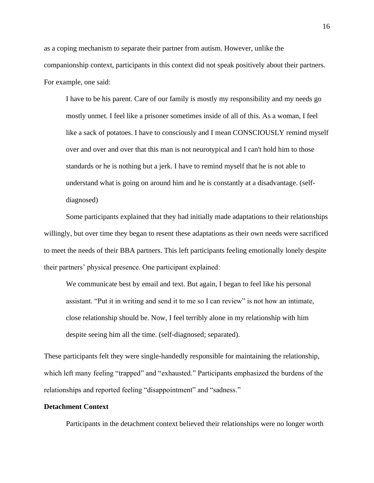as a coping mechanism to separate their partner from autism. However, unlike the companionship context, participants in this context did not speak positively about their partners. For example, one said:

I have to be his parent. Care of our family is mostly my responsibility and my needs go mostly unmet. I feel like a prisoner sometimes inside of all of this. As a woman, I feel like a sack of potatoes. I have to consciously and I mean CONSCIOUSLY remind myself over and over and over that this man is not neurotypical and I can't hold him to those standards or he is nothing but a jerk. I have to remind myself that he is not able to understand what is going on around him and he is constantly at a disadvantage. (selfdiagnosed)

Some participants explained that they had initially made adaptations to their relationships willingly, but over time they began to resent these adaptations as their own needs were sacrificed to meet the needs of their BBA partners. This left participants feeling emotionally lonely despite their partners' physical presence. One participant explained:

We communicate best by email and text. But again, I began to feel like his personal assistant. "Put it in writing and send it to me so I can review" is not how an intimate, close relationship should be. Now, I feel terribly alone in my relationship with him despite seeing him all the time. (self-diagnosed; separated).

These participants felt they were single-handedly responsible for maintaining the relationship, which left many feeling "trapped" and "exhausted." Participants emphasized the burdens of the relationships and reported feeling "disappointment" and "sadness."

# **Detachment Context**

Participants in the detachment context believed their relationships were no longer worth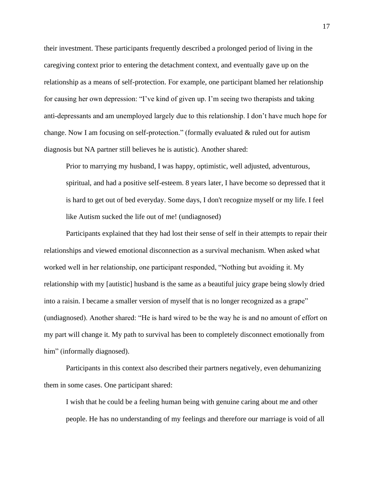their investment. These participants frequently described a prolonged period of living in the caregiving context prior to entering the detachment context, and eventually gave up on the relationship as a means of self-protection. For example, one participant blamed her relationship for causing her own depression: "I've kind of given up. I'm seeing two therapists and taking anti-depressants and am unemployed largely due to this relationship. I don't have much hope for change. Now I am focusing on self-protection." (formally evaluated & ruled out for autism diagnosis but NA partner still believes he is autistic). Another shared:

Prior to marrying my husband, I was happy, optimistic, well adjusted, adventurous, spiritual, and had a positive self-esteem. 8 years later, I have become so depressed that it is hard to get out of bed everyday. Some days, I don't recognize myself or my life. I feel like Autism sucked the life out of me! (undiagnosed)

Participants explained that they had lost their sense of self in their attempts to repair their relationships and viewed emotional disconnection as a survival mechanism. When asked what worked well in her relationship, one participant responded, "Nothing but avoiding it. My relationship with my [autistic] husband is the same as a beautiful juicy grape being slowly dried into a raisin. I became a smaller version of myself that is no longer recognized as a grape" (undiagnosed). Another shared: "He is hard wired to be the way he is and no amount of effort on my part will change it. My path to survival has been to completely disconnect emotionally from him" (informally diagnosed).

Participants in this context also described their partners negatively, even dehumanizing them in some cases. One participant shared:

I wish that he could be a feeling human being with genuine caring about me and other people. He has no understanding of my feelings and therefore our marriage is void of all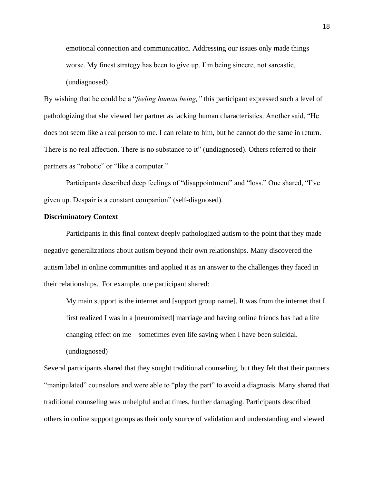emotional connection and communication. Addressing our issues only made things worse. My finest strategy has been to give up. I'm being sincere, not sarcastic.

(undiagnosed)

By wishing that he could be a "*feeling human being,"* this participant expressed such a level of pathologizing that she viewed her partner as lacking human characteristics. Another said, "He does not seem like a real person to me. I can relate to him, but he cannot do the same in return. There is no real affection. There is no substance to it" (undiagnosed). Others referred to their partners as "robotic" or "like a computer."

Participants described deep feelings of "disappointment" and "loss." One shared, "I've given up. Despair is a constant companion" (self-diagnosed).

# **Discriminatory Context**

Participants in this final context deeply pathologized autism to the point that they made negative generalizations about autism beyond their own relationships. Many discovered the autism label in online communities and applied it as an answer to the challenges they faced in their relationships. For example, one participant shared:

My main support is the internet and [support group name]. It was from the internet that I first realized I was in a [neuromixed] marriage and having online friends has had a life changing effect on me – sometimes even life saving when I have been suicidal.

(undiagnosed)

Several participants shared that they sought traditional counseling, but they felt that their partners "manipulated" counselors and were able to "play the part" to avoid a diagnosis. Many shared that traditional counseling was unhelpful and at times, further damaging. Participants described others in online support groups as their only source of validation and understanding and viewed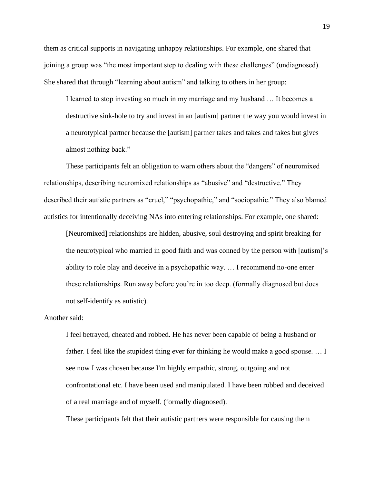them as critical supports in navigating unhappy relationships. For example, one shared that joining a group was "the most important step to dealing with these challenges" (undiagnosed). She shared that through "learning about autism" and talking to others in her group:

I learned to stop investing so much in my marriage and my husband … It becomes a destructive sink-hole to try and invest in an [autism] partner the way you would invest in a neurotypical partner because the [autism] partner takes and takes and takes but gives almost nothing back."

These participants felt an obligation to warn others about the "dangers" of neuromixed relationships, describing neuromixed relationships as "abusive" and "destructive." They described their autistic partners as "cruel," "psychopathic," and "sociopathic." They also blamed autistics for intentionally deceiving NAs into entering relationships. For example, one shared:

[Neuromixed] relationships are hidden, abusive, soul destroying and spirit breaking for the neurotypical who married in good faith and was conned by the person with [autism]'s ability to role play and deceive in a psychopathic way. … I recommend no-one enter these relationships. Run away before you're in too deep. (formally diagnosed but does not self-identify as autistic).

# Another said:

I feel betrayed, cheated and robbed. He has never been capable of being a husband or father. I feel like the stupidest thing ever for thinking he would make a good spouse.... I see now I was chosen because I'm highly empathic, strong, outgoing and not confrontational etc. I have been used and manipulated. I have been robbed and deceived of a real marriage and of myself. (formally diagnosed).

These participants felt that their autistic partners were responsible for causing them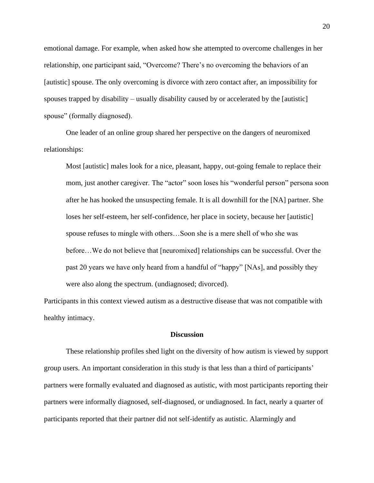emotional damage. For example, when asked how she attempted to overcome challenges in her relationship, one participant said, "Overcome? There's no overcoming the behaviors of an [autistic] spouse. The only overcoming is divorce with zero contact after, an impossibility for spouses trapped by disability – usually disability caused by or accelerated by the [autistic] spouse" (formally diagnosed).

One leader of an online group shared her perspective on the dangers of neuromixed relationships:

Most [autistic] males look for a nice, pleasant, happy, out-going female to replace their mom, just another caregiver. The "actor" soon loses his "wonderful person" persona soon after he has hooked the unsuspecting female. It is all downhill for the [NA] partner. She loses her self-esteem, her self-confidence, her place in society, because her [autistic] spouse refuses to mingle with others…Soon she is a mere shell of who she was before…We do not believe that [neuromixed] relationships can be successful. Over the past 20 years we have only heard from a handful of "happy" [NAs], and possibly they were also along the spectrum. (undiagnosed; divorced).

Participants in this context viewed autism as a destructive disease that was not compatible with healthy intimacy.

#### **Discussion**

These relationship profiles shed light on the diversity of how autism is viewed by support group users. An important consideration in this study is that less than a third of participants' partners were formally evaluated and diagnosed as autistic, with most participants reporting their partners were informally diagnosed, self-diagnosed, or undiagnosed. In fact, nearly a quarter of participants reported that their partner did not self-identify as autistic. Alarmingly and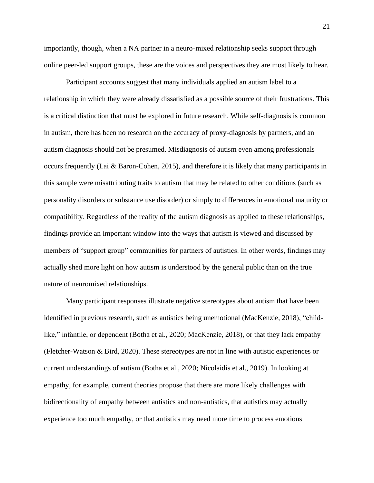importantly, though, when a NA partner in a neuro-mixed relationship seeks support through online peer-led support groups, these are the voices and perspectives they are most likely to hear.

Participant accounts suggest that many individuals applied an autism label to a relationship in which they were already dissatisfied as a possible source of their frustrations. This is a critical distinction that must be explored in future research. While self-diagnosis is common in autism, there has been no research on the accuracy of proxy-diagnosis by partners, and an autism diagnosis should not be presumed. Misdiagnosis of autism even among professionals occurs frequently (Lai & Baron-Cohen, 2015), and therefore it is likely that many participants in this sample were misattributing traits to autism that may be related to other conditions (such as personality disorders or substance use disorder) or simply to differences in emotional maturity or compatibility. Regardless of the reality of the autism diagnosis as applied to these relationships, findings provide an important window into the ways that autism is viewed and discussed by members of "support group" communities for partners of autistics. In other words, findings may actually shed more light on how autism is understood by the general public than on the true nature of neuromixed relationships.

Many participant responses illustrate negative stereotypes about autism that have been identified in previous research, such as autistics being unemotional (MacKenzie, 2018), "childlike," infantile, or dependent (Botha et al., 2020; MacKenzie, 2018), or that they lack empathy (Fletcher-Watson & Bird, 2020). These stereotypes are not in line with autistic experiences or current understandings of autism (Botha et al., 2020; Nicolaidis et al., 2019). In looking at empathy, for example, current theories propose that there are more likely challenges with bidirectionality of empathy between autistics and non-autistics, that autistics may actually experience too much empathy, or that autistics may need more time to process emotions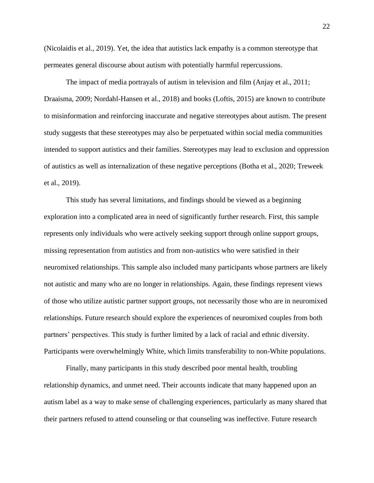(Nicolaidis et al., 2019). Yet, the idea that autistics lack empathy is a common stereotype that permeates general discourse about autism with potentially harmful repercussions.

The impact of media portrayals of autism in television and film (Anjay et al., 2011; Draaisma, 2009; Nordahl-Hansen et al., 2018) and books (Loftis, 2015) are known to contribute to misinformation and reinforcing inaccurate and negative stereotypes about autism. The present study suggests that these stereotypes may also be perpetuated within social media communities intended to support autistics and their families. Stereotypes may lead to exclusion and oppression of autistics as well as internalization of these negative perceptions (Botha et al., 2020; Treweek et al., 2019).

This study has several limitations, and findings should be viewed as a beginning exploration into a complicated area in need of significantly further research. First, this sample represents only individuals who were actively seeking support through online support groups, missing representation from autistics and from non-autistics who were satisfied in their neuromixed relationships. This sample also included many participants whose partners are likely not autistic and many who are no longer in relationships. Again, these findings represent views of those who utilize autistic partner support groups, not necessarily those who are in neuromixed relationships. Future research should explore the experiences of neuromixed couples from both partners' perspectives. This study is further limited by a lack of racial and ethnic diversity. Participants were overwhelmingly White, which limits transferability to non-White populations.

Finally, many participants in this study described poor mental health, troubling relationship dynamics, and unmet need. Their accounts indicate that many happened upon an autism label as a way to make sense of challenging experiences, particularly as many shared that their partners refused to attend counseling or that counseling was ineffective. Future research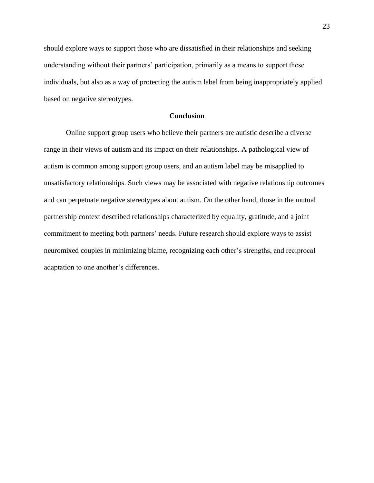should explore ways to support those who are dissatisfied in their relationships and seeking understanding without their partners' participation, primarily as a means to support these individuals, but also as a way of protecting the autism label from being inappropriately applied based on negative stereotypes.

## **Conclusion**

Online support group users who believe their partners are autistic describe a diverse range in their views of autism and its impact on their relationships. A pathological view of autism is common among support group users, and an autism label may be misapplied to unsatisfactory relationships. Such views may be associated with negative relationship outcomes and can perpetuate negative stereotypes about autism. On the other hand, those in the mutual partnership context described relationships characterized by equality, gratitude, and a joint commitment to meeting both partners' needs. Future research should explore ways to assist neuromixed couples in minimizing blame, recognizing each other's strengths, and reciprocal adaptation to one another's differences.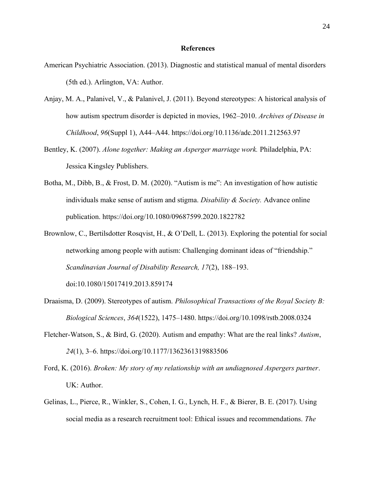## **References**

- American Psychiatric Association. (2013). Diagnostic and statistical manual of mental disorders (5th ed.). Arlington, VA: Author.
- Anjay, M. A., Palanivel, V., & Palanivel, J. (2011). Beyond stereotypes: A historical analysis of how autism spectrum disorder is depicted in movies, 1962–2010. *Archives of Disease in Childhood*, *96*(Suppl 1), A44–A44. https://doi.org/10.1136/adc.2011.212563.97
- Bentley, K. (2007). *Alone together: Making an Asperger marriage work.* Philadelphia, PA: Jessica Kingsley Publishers.
- Botha, M., Dibb, B., & Frost, D. M. (2020). "Autism is me": An investigation of how autistic individuals make sense of autism and stigma. *Disability & Society.* Advance online publication. https://doi.org/10.1080/09687599.2020.1822782
- Brownlow, C., Bertilsdotter Rosqvist, H., & O'Dell, L. (2013). Exploring the potential for social networking among people with autism: Challenging dominant ideas of "friendship." *Scandinavian Journal of Disability Research, 17*(2), 188–193. doi:10.1080/15017419.2013.859174
- Draaisma, D. (2009). Stereotypes of autism. *Philosophical Transactions of the Royal Society B: Biological Sciences*, *364*(1522), 1475–1480. https://doi.org/10.1098/rstb.2008.0324
- Fletcher-Watson, S., & Bird, G. (2020). Autism and empathy: What are the real links? *Autism*, *24*(1), 3–6. https://doi.org/10.1177/1362361319883506
- Ford, K. (2016). *Broken: My story of my relationship with an undiagnosed Aspergers partner*. UK: Author.
- Gelinas, L., Pierce, R., Winkler, S., Cohen, I. G., Lynch, H. F., & Bierer, B. E. (2017). Using social media as a research recruitment tool: Ethical issues and recommendations. *The*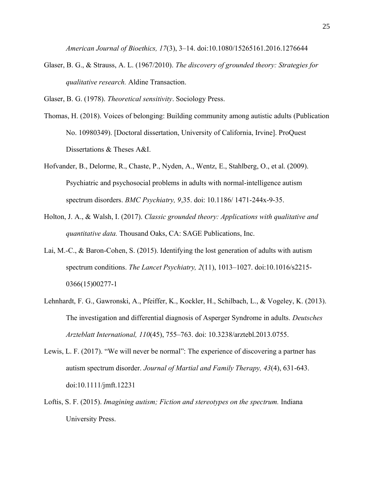*American Journal of Bioethics, 17*(3), 3–14. doi:10.1080/15265161.2016.1276644

Glaser, B. G., & Strauss, A. L. (1967/2010). *The discovery of grounded theory: Strategies for qualitative research.* Aldine Transaction.

Glaser, B. G. (1978). *Theoretical sensitivity*. Sociology Press.

- Thomas, H. (2018). Voices of belonging: Building community among autistic adults (Publication No. 10980349). [Doctoral dissertation, University of California, Irvine]. ProQuest Dissertations & Theses A&I.
- Hofvander, B., Delorme, R., Chaste, P., Nyden, A., Wentz, E., Stahlberg, O., et al. (2009). Psychiatric and psychosocial problems in adults with normal-intelligence autism spectrum disorders. *BMC Psychiatry, 9*,35. doi: 10.1186/ 1471-244x-9-35.
- Holton, J. A., & Walsh, I. (2017). *Classic grounded theory: Applications with qualitative and quantitative data.* Thousand Oaks, CA: SAGE Publications, Inc.
- Lai, M.-C., & Baron-Cohen, S. (2015). Identifying the lost generation of adults with autism spectrum conditions. *The Lancet Psychiatry, 2*(11), 1013–1027. doi:10.1016/s2215- 0366(15)00277-1
- Lehnhardt, F. G., Gawronski, A., Pfeiffer, K., Kockler, H., Schilbach, L., & Vogeley, K. (2013). The investigation and differential diagnosis of Asperger Syndrome in adults. *Deutsches Arzteblatt International, 110*(45), 755–763. doi: 10.3238/arztebl.2013.0755.
- Lewis, L. F. (2017). "We will never be normal": The experience of discovering a partner has autism spectrum disorder. *Journal of Martial and Family Therapy, 43*(4), 631-643. doi:10.1111/jmft.12231
- Loftis, S. F. (2015). *Imagining autism; Fiction and stereotypes on the spectrum.* Indiana University Press.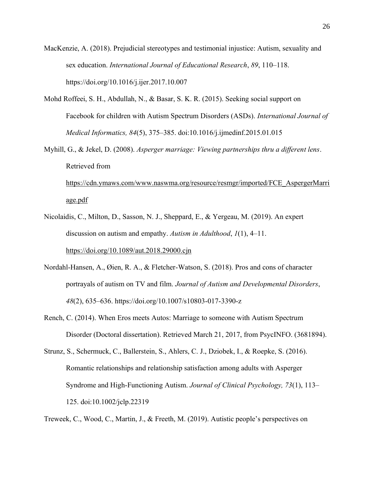MacKenzie, A. (2018). Prejudicial stereotypes and testimonial injustice: Autism, sexuality and sex education. *International Journal of Educational Research*, *89*, 110–118. https://doi.org/10.1016/j.ijer.2017.10.007

- Mohd Roffeei, S. H., Abdullah, N., & Basar, S. K. R. (2015). Seeking social support on Facebook for children with Autism Spectrum Disorders (ASDs). *International Journal of Medical Informatics, 84*(5), 375–385. doi:10.1016/j.ijmedinf.2015.01.015
- Myhill, G., & Jekel, D. (2008). *Asperger marriage: Viewing partnerships thru a different lens*. Retrieved from

[https://cdn.ymaws.com/www.naswma.org/resource/resmgr/imported/FCE\\_AspergerMarri](https://cdn.ymaws.com/www.naswma.org/resource/resmgr/imported/FCE_AspergerMarriage.pdf) [age.pdf](https://cdn.ymaws.com/www.naswma.org/resource/resmgr/imported/FCE_AspergerMarriage.pdf)

- Nicolaidis, C., Milton, D., Sasson, N. J., Sheppard, E., & Yergeau, M. (2019). An expert discussion on autism and empathy. *Autism in Adulthood*, *1*(1), 4–11. <https://doi.org/10.1089/aut.2018.29000.cjn>
- Nordahl-Hansen, A., Øien, R. A., & Fletcher-Watson, S. (2018). Pros and cons of character portrayals of autism on TV and film. *Journal of Autism and Developmental Disorders*, *48*(2), 635–636. https://doi.org/10.1007/s10803-017-3390-z
- Rench, C. (2014). When Eros meets Autos: Marriage to someone with Autism Spectrum Disorder (Doctoral dissertation). Retrieved March 21, 2017, from PsycINFO. (3681894).

Strunz, S., Schermuck, C., Ballerstein, S., Ahlers, C. J., Dziobek, I., & Roepke, S. (2016). Romantic relationships and relationship satisfaction among adults with Asperger Syndrome and High-Functioning Autism. *Journal of Clinical Psychology, 73*(1), 113– 125. doi:10.1002/jclp.22319

Treweek, C., Wood, C., Martin, J., & Freeth, M. (2019). Autistic people's perspectives on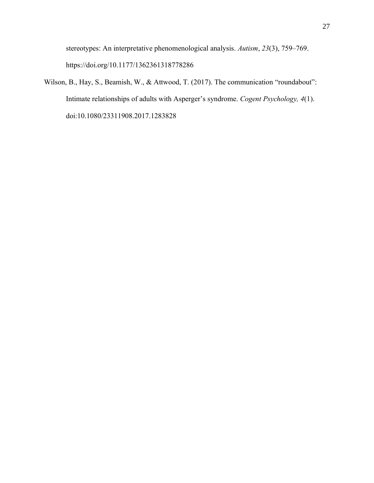stereotypes: An interpretative phenomenological analysis. *Autism*, *23*(3), 759–769. https://doi.org/10.1177/1362361318778286

Wilson, B., Hay, S., Beamish, W., & Attwood, T. (2017). The communication "roundabout": Intimate relationships of adults with Asperger's syndrome. *Cogent Psychology, 4*(1). doi:10.1080/23311908.2017.1283828